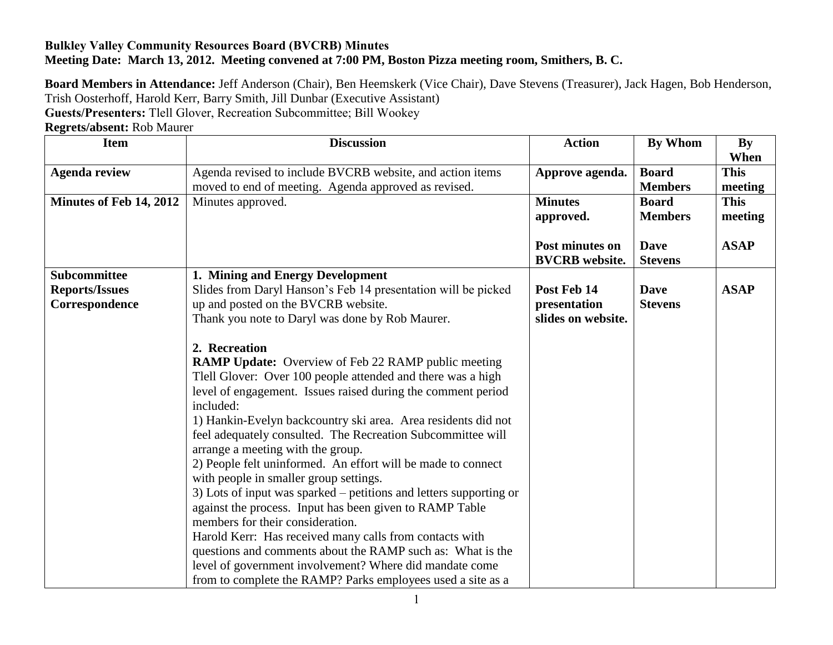## **Bulkley Valley Community Resources Board (BVCRB) Minutes Meeting Date: March 13, 2012. Meeting convened at 7:00 PM, Boston Pizza meeting room, Smithers, B. C.**

**Board Members in Attendance:** Jeff Anderson (Chair), Ben Heemskerk (Vice Chair), Dave Stevens (Treasurer), Jack Hagen, Bob Henderson, Trish Oosterhoff, Harold Kerr, Barry Smith, Jill Dunbar (Executive Assistant)

**Guests/Presenters:** Tlell Glover, Recreation Subcommittee; Bill Wookey

**Regrets/absent:** Rob Maurer

| <b>Item</b>             | <b>Discussion</b>                                                  | <b>Action</b>         | <b>By Whom</b> | <b>By</b>   |
|-------------------------|--------------------------------------------------------------------|-----------------------|----------------|-------------|
|                         |                                                                    |                       |                | When        |
| <b>Agenda review</b>    | Agenda revised to include BVCRB website, and action items          | Approve agenda.       | <b>Board</b>   | <b>This</b> |
|                         | moved to end of meeting. Agenda approved as revised.               |                       | <b>Members</b> | meeting     |
| Minutes of Feb 14, 2012 | Minutes approved.                                                  | <b>Minutes</b>        | <b>Board</b>   | <b>This</b> |
|                         |                                                                    | approved.             | <b>Members</b> | meeting     |
|                         |                                                                    |                       |                |             |
|                         |                                                                    | Post minutes on       | <b>Dave</b>    | <b>ASAP</b> |
|                         |                                                                    | <b>BVCRB</b> website. | <b>Stevens</b> |             |
| <b>Subcommittee</b>     | 1. Mining and Energy Development                                   |                       |                |             |
| <b>Reports/Issues</b>   | Slides from Daryl Hanson's Feb 14 presentation will be picked      | Post Feb 14           | <b>Dave</b>    | <b>ASAP</b> |
| Correspondence          | up and posted on the BVCRB website.                                | presentation          | <b>Stevens</b> |             |
|                         | Thank you note to Daryl was done by Rob Maurer.                    | slides on website.    |                |             |
|                         |                                                                    |                       |                |             |
|                         | 2. Recreation                                                      |                       |                |             |
|                         | <b>RAMP Update:</b> Overview of Feb 22 RAMP public meeting         |                       |                |             |
|                         | Tlell Glover: Over 100 people attended and there was a high        |                       |                |             |
|                         | level of engagement. Issues raised during the comment period       |                       |                |             |
|                         | included:                                                          |                       |                |             |
|                         | 1) Hankin-Evelyn backcountry ski area. Area residents did not      |                       |                |             |
|                         | feel adequately consulted. The Recreation Subcommittee will        |                       |                |             |
|                         | arrange a meeting with the group.                                  |                       |                |             |
|                         | 2) People felt uninformed. An effort will be made to connect       |                       |                |             |
|                         | with people in smaller group settings.                             |                       |                |             |
|                         | 3) Lots of input was sparked – petitions and letters supporting or |                       |                |             |
|                         | against the process. Input has been given to RAMP Table            |                       |                |             |
|                         | members for their consideration.                                   |                       |                |             |
|                         | Harold Kerr: Has received many calls from contacts with            |                       |                |             |
|                         | questions and comments about the RAMP such as: What is the         |                       |                |             |
|                         | level of government involvement? Where did mandate come            |                       |                |             |
|                         | from to complete the RAMP? Parks employees used a site as a        |                       |                |             |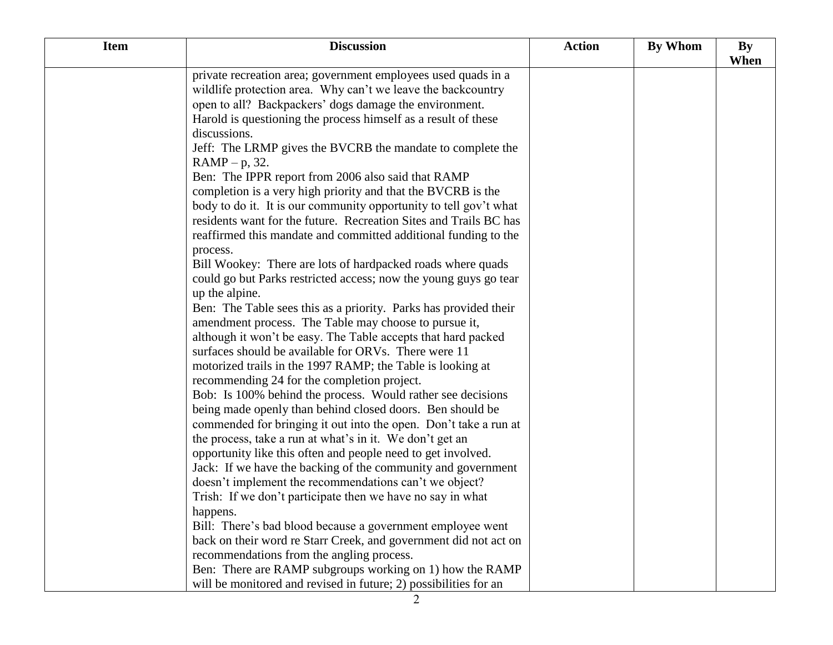| <b>Item</b> | <b>Discussion</b>                                                 | <b>Action</b> | By Whom | <b>By</b> |
|-------------|-------------------------------------------------------------------|---------------|---------|-----------|
|             | private recreation area; government employees used quads in a     |               |         | When      |
|             | wildlife protection area. Why can't we leave the backcountry      |               |         |           |
|             | open to all? Backpackers' dogs damage the environment.            |               |         |           |
|             | Harold is questioning the process himself as a result of these    |               |         |           |
|             | discussions.                                                      |               |         |           |
|             | Jeff: The LRMP gives the BVCRB the mandate to complete the        |               |         |           |
|             | $RAMP - p$ , 32.                                                  |               |         |           |
|             | Ben: The IPPR report from 2006 also said that RAMP                |               |         |           |
|             | completion is a very high priority and that the BVCRB is the      |               |         |           |
|             | body to do it. It is our community opportunity to tell gov't what |               |         |           |
|             | residents want for the future. Recreation Sites and Trails BC has |               |         |           |
|             | reaffirmed this mandate and committed additional funding to the   |               |         |           |
|             | process.                                                          |               |         |           |
|             | Bill Wookey: There are lots of hardpacked roads where quads       |               |         |           |
|             | could go but Parks restricted access; now the young guys go tear  |               |         |           |
|             | up the alpine.                                                    |               |         |           |
|             | Ben: The Table sees this as a priority. Parks has provided their  |               |         |           |
|             | amendment process. The Table may choose to pursue it,             |               |         |           |
|             | although it won't be easy. The Table accepts that hard packed     |               |         |           |
|             | surfaces should be available for ORVs. There were 11              |               |         |           |
|             | motorized trails in the 1997 RAMP; the Table is looking at        |               |         |           |
|             | recommending 24 for the completion project.                       |               |         |           |
|             | Bob: Is 100% behind the process. Would rather see decisions       |               |         |           |
|             | being made openly than behind closed doors. Ben should be         |               |         |           |
|             | commended for bringing it out into the open. Don't take a run at  |               |         |           |
|             | the process, take a run at what's in it. We don't get an          |               |         |           |
|             | opportunity like this often and people need to get involved.      |               |         |           |
|             | Jack: If we have the backing of the community and government      |               |         |           |
|             | doesn't implement the recommendations can't we object?            |               |         |           |
|             | Trish: If we don't participate then we have no say in what        |               |         |           |
|             | happens.                                                          |               |         |           |
|             | Bill: There's bad blood because a government employee went        |               |         |           |
|             | back on their word re Starr Creek, and government did not act on  |               |         |           |
|             | recommendations from the angling process.                         |               |         |           |
|             | Ben: There are RAMP subgroups working on 1) how the RAMP          |               |         |           |
|             | will be monitored and revised in future; 2) possibilities for an  |               |         |           |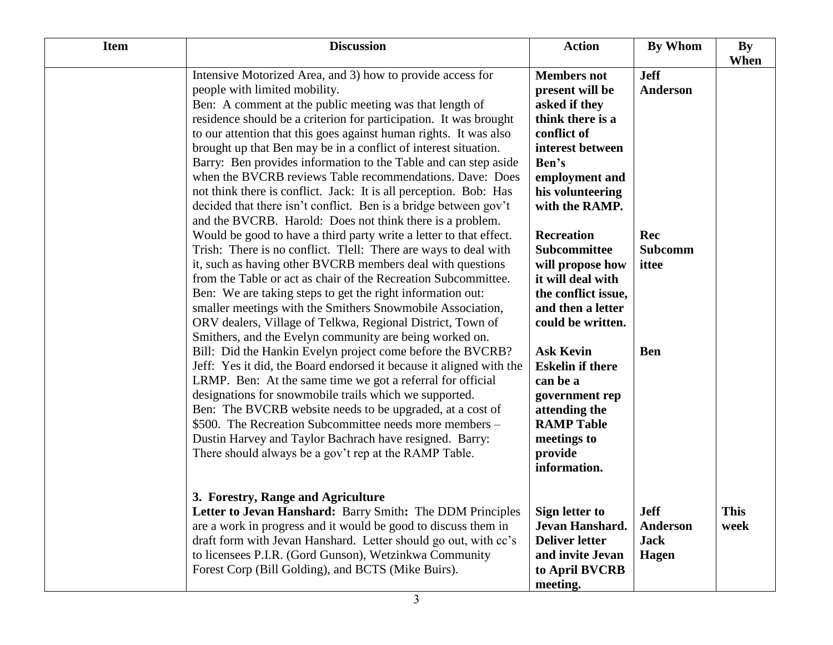| <b>Item</b> | <b>Discussion</b>                                                                                                                                                                                                                                                                                                                                                                                                                                                                                                                                                                                                                                                                                                                                                                                                                                                                                                                                                                                                                                                                                                                                                                                                                                                                                                                                                                                                                                                                                                                                                                                                                                                                                                                               | <b>Action</b>                                                                                                                                                                                                                                                                                                                                                                                                                                                                              | <b>By Whom</b>                                                                 | <b>By</b><br>When   |
|-------------|-------------------------------------------------------------------------------------------------------------------------------------------------------------------------------------------------------------------------------------------------------------------------------------------------------------------------------------------------------------------------------------------------------------------------------------------------------------------------------------------------------------------------------------------------------------------------------------------------------------------------------------------------------------------------------------------------------------------------------------------------------------------------------------------------------------------------------------------------------------------------------------------------------------------------------------------------------------------------------------------------------------------------------------------------------------------------------------------------------------------------------------------------------------------------------------------------------------------------------------------------------------------------------------------------------------------------------------------------------------------------------------------------------------------------------------------------------------------------------------------------------------------------------------------------------------------------------------------------------------------------------------------------------------------------------------------------------------------------------------------------|--------------------------------------------------------------------------------------------------------------------------------------------------------------------------------------------------------------------------------------------------------------------------------------------------------------------------------------------------------------------------------------------------------------------------------------------------------------------------------------------|--------------------------------------------------------------------------------|---------------------|
|             | Intensive Motorized Area, and 3) how to provide access for<br>people with limited mobility.<br>Ben: A comment at the public meeting was that length of<br>residence should be a criterion for participation. It was brought<br>to our attention that this goes against human rights. It was also<br>brought up that Ben may be in a conflict of interest situation.<br>Barry: Ben provides information to the Table and can step aside<br>when the BVCRB reviews Table recommendations. Dave: Does<br>not think there is conflict. Jack: It is all perception. Bob: Has<br>decided that there isn't conflict. Ben is a bridge between gov't<br>and the BVCRB. Harold: Does not think there is a problem.<br>Would be good to have a third party write a letter to that effect.<br>Trish: There is no conflict. Tlell: There are ways to deal with<br>it, such as having other BVCRB members deal with questions<br>from the Table or act as chair of the Recreation Subcommittee.<br>Ben: We are taking steps to get the right information out:<br>smaller meetings with the Smithers Snowmobile Association,<br>ORV dealers, Village of Telkwa, Regional District, Town of<br>Smithers, and the Evelyn community are being worked on.<br>Bill: Did the Hankin Evelyn project come before the BVCRB?<br>Jeff: Yes it did, the Board endorsed it because it aligned with the<br>LRMP. Ben: At the same time we got a referral for official<br>designations for snowmobile trails which we supported.<br>Ben: The BVCRB website needs to be upgraded, at a cost of<br>\$500. The Recreation Subcommittee needs more members –<br>Dustin Harvey and Taylor Bachrach have resigned. Barry:<br>There should always be a gov't rep at the RAMP Table. | <b>Members</b> not<br>present will be<br>asked if they<br>think there is a<br>conflict of<br>interest between<br>Ben's<br>employment and<br>his volunteering<br>with the RAMP.<br><b>Recreation</b><br>Subcommittee<br>will propose how<br>it will deal with<br>the conflict issue,<br>and then a letter<br>could be written.<br><b>Ask Kevin</b><br><b>Eskelin if there</b><br>can be a<br>government rep<br>attending the<br><b>RAMP Table</b><br>meetings to<br>provide<br>information. | <b>Jeff</b><br><b>Anderson</b><br>Rec<br><b>Subcomm</b><br>ittee<br><b>Ben</b> |                     |
|             | 3. Forestry, Range and Agriculture<br>Letter to Jevan Hanshard: Barry Smith: The DDM Principles<br>are a work in progress and it would be good to discuss them in<br>draft form with Jevan Hanshard. Letter should go out, with cc's<br>to licensees P.I.R. (Gord Gunson), Wetzinkwa Community<br>Forest Corp (Bill Golding), and BCTS (Mike Buirs).                                                                                                                                                                                                                                                                                                                                                                                                                                                                                                                                                                                                                                                                                                                                                                                                                                                                                                                                                                                                                                                                                                                                                                                                                                                                                                                                                                                            | <b>Sign letter to</b><br>Jevan Hanshard.<br><b>Deliver letter</b><br>and invite Jevan<br>to April BVCRB<br>meeting.                                                                                                                                                                                                                                                                                                                                                                        | <b>Jeff</b><br><b>Anderson</b><br><b>Jack</b><br><b>Hagen</b>                  | <b>This</b><br>week |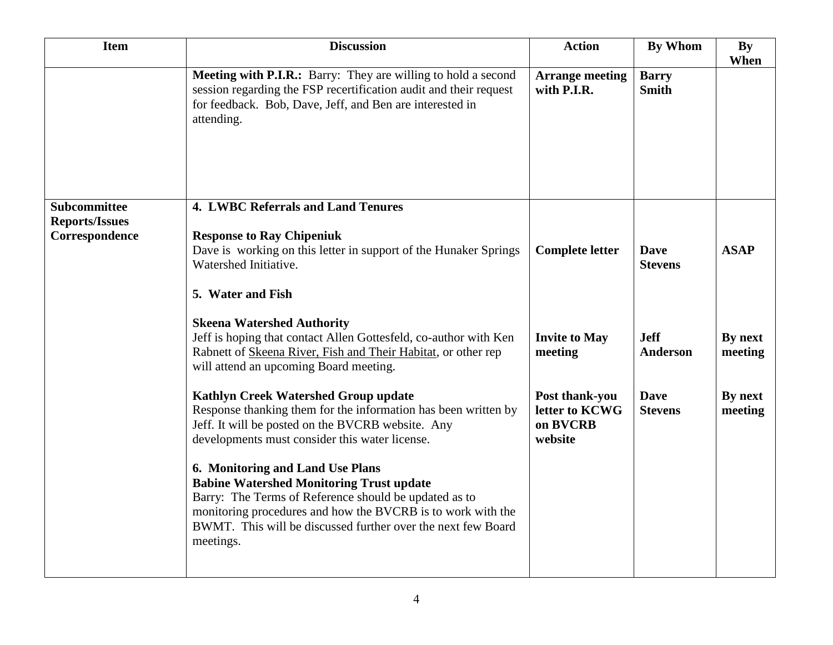| <b>Item</b>                                  | <b>Discussion</b>                                                                                                                                                                                                                                                                        | <b>Action</b>                                           | <b>By Whom</b>                 | <b>By</b><br>When  |
|----------------------------------------------|------------------------------------------------------------------------------------------------------------------------------------------------------------------------------------------------------------------------------------------------------------------------------------------|---------------------------------------------------------|--------------------------------|--------------------|
|                                              | Meeting with P.I.R.: Barry: They are willing to hold a second<br>session regarding the FSP recertification audit and their request<br>for feedback. Bob, Dave, Jeff, and Ben are interested in<br>attending.                                                                             | <b>Arrange meeting</b><br>with P.I.R.                   | <b>Barry</b><br><b>Smith</b>   |                    |
| <b>Subcommittee</b><br><b>Reports/Issues</b> | <b>4. LWBC Referrals and Land Tenures</b>                                                                                                                                                                                                                                                |                                                         |                                |                    |
| Correspondence                               | <b>Response to Ray Chipeniuk</b><br>Dave is working on this letter in support of the Hunaker Springs<br>Watershed Initiative.                                                                                                                                                            | <b>Complete letter</b>                                  | <b>Dave</b><br><b>Stevens</b>  | <b>ASAP</b>        |
|                                              | 5. Water and Fish                                                                                                                                                                                                                                                                        |                                                         |                                |                    |
|                                              | <b>Skeena Watershed Authority</b><br>Jeff is hoping that contact Allen Gottesfeld, co-author with Ken<br>Rabnett of Skeena River, Fish and Their Habitat, or other rep<br>will attend an upcoming Board meeting.                                                                         | <b>Invite to May</b><br>meeting                         | <b>Jeff</b><br><b>Anderson</b> | By next<br>meeting |
|                                              | <b>Kathlyn Creek Watershed Group update</b><br>Response thanking them for the information has been written by<br>Jeff. It will be posted on the BVCRB website. Any<br>developments must consider this water license.                                                                     | Post thank-you<br>letter to KCWG<br>on BVCRB<br>website | <b>Dave</b><br><b>Stevens</b>  | By next<br>meeting |
|                                              | 6. Monitoring and Land Use Plans<br><b>Babine Watershed Monitoring Trust update</b><br>Barry: The Terms of Reference should be updated as to<br>monitoring procedures and how the BVCRB is to work with the<br>BWMT. This will be discussed further over the next few Board<br>meetings. |                                                         |                                |                    |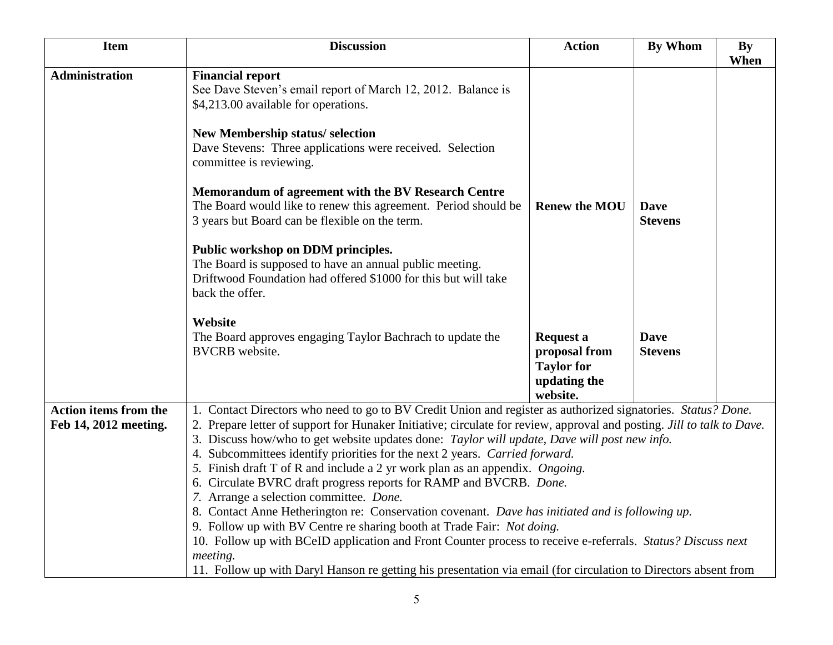| <b>Discussion</b>                                                                                                                                                                                                                                                                                                                                                                                                                                                                                                                                                                                                                                                                                                                                                                                                                                                                                                                     | <b>Action</b>                                                          | <b>By Whom</b>                | <b>By</b><br>When                                                                                               |
|---------------------------------------------------------------------------------------------------------------------------------------------------------------------------------------------------------------------------------------------------------------------------------------------------------------------------------------------------------------------------------------------------------------------------------------------------------------------------------------------------------------------------------------------------------------------------------------------------------------------------------------------------------------------------------------------------------------------------------------------------------------------------------------------------------------------------------------------------------------------------------------------------------------------------------------|------------------------------------------------------------------------|-------------------------------|-----------------------------------------------------------------------------------------------------------------|
| <b>Financial report</b><br>See Dave Steven's email report of March 12, 2012. Balance is<br>\$4,213.00 available for operations.                                                                                                                                                                                                                                                                                                                                                                                                                                                                                                                                                                                                                                                                                                                                                                                                       |                                                                        |                               |                                                                                                                 |
| New Membership status/ selection<br>Dave Stevens: Three applications were received. Selection<br>committee is reviewing.                                                                                                                                                                                                                                                                                                                                                                                                                                                                                                                                                                                                                                                                                                                                                                                                              |                                                                        |                               |                                                                                                                 |
| Memorandum of agreement with the BV Research Centre<br>The Board would like to renew this agreement. Period should be<br>3 years but Board can be flexible on the term.                                                                                                                                                                                                                                                                                                                                                                                                                                                                                                                                                                                                                                                                                                                                                               | <b>Renew the MOU</b>                                                   | <b>Dave</b><br><b>Stevens</b> |                                                                                                                 |
| Public workshop on DDM principles.<br>The Board is supposed to have an annual public meeting.<br>Driftwood Foundation had offered \$1000 for this but will take<br>back the offer.                                                                                                                                                                                                                                                                                                                                                                                                                                                                                                                                                                                                                                                                                                                                                    |                                                                        |                               |                                                                                                                 |
| Website<br>The Board approves engaging Taylor Bachrach to update the<br><b>BVCRB</b> website.                                                                                                                                                                                                                                                                                                                                                                                                                                                                                                                                                                                                                                                                                                                                                                                                                                         | <b>Request a</b><br>proposal from<br><b>Taylor for</b><br>updating the | <b>Dave</b><br><b>Stevens</b> |                                                                                                                 |
| 1. Contact Directors who need to go to BV Credit Union and register as authorized signatories. Status? Done.<br>2. Prepare letter of support for Hunaker Initiative; circulate for review, approval and posting. <i>Jill to talk to Dave.</i><br>3. Discuss how/who to get website updates done: Taylor will update, Dave will post new info.<br>4. Subcommittees identify priorities for the next 2 years. Carried forward.<br>5. Finish draft T of R and include a 2 yr work plan as an appendix. Ongoing.<br>6. Circulate BVRC draft progress reports for RAMP and BVCRB. Done.<br>7. Arrange a selection committee. Done.<br>8. Contact Anne Hetherington re: Conservation covenant. Dave has initiated and is following up.<br>9. Follow up with BV Centre re sharing booth at Trade Fair: Not doing.<br>10. Follow up with BCeID application and Front Counter process to receive e-referrals. Status? Discuss next<br>meeting. |                                                                        |                               |                                                                                                                 |
|                                                                                                                                                                                                                                                                                                                                                                                                                                                                                                                                                                                                                                                                                                                                                                                                                                                                                                                                       |                                                                        | website.                      | 11. Follow up with Daryl Hanson re getting his presentation via email (for circulation to Directors absent from |